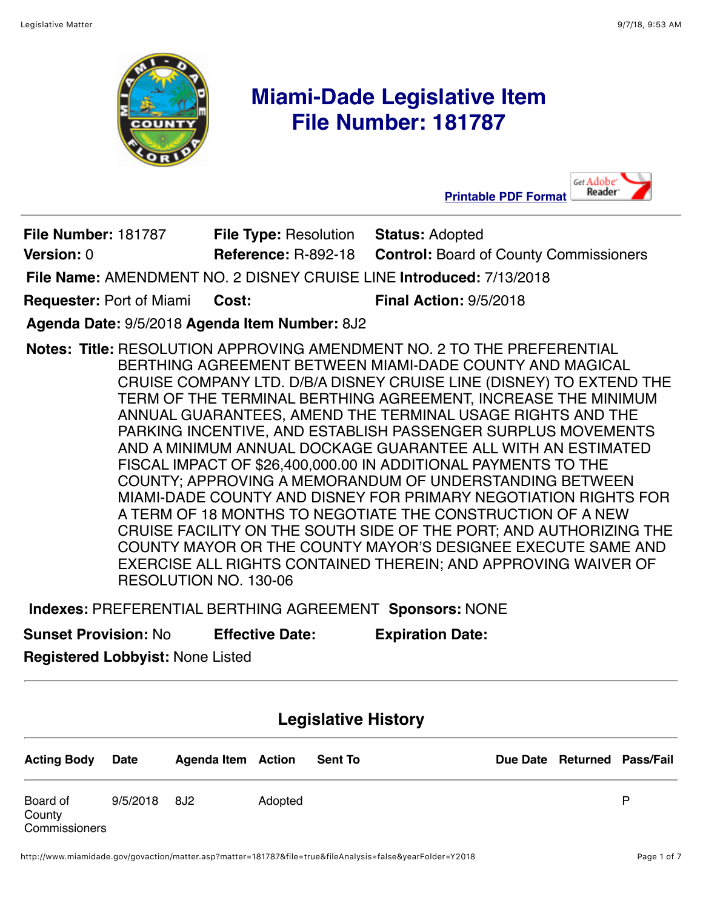Get Adobe



# **Miami-Dade Legislative Item File Number: 181787**

|                                               |                                              | Reader <sup>.</sup><br><b>Printable PDF Format</b><br>◢             |
|-----------------------------------------------|----------------------------------------------|---------------------------------------------------------------------|
| <b>File Number: 181787</b>                    | <b>File Type: Resolution Status: Adopted</b> |                                                                     |
| Version: 0                                    | <b>Reference: R-892-18</b>                   | <b>Control: Board of County Commissioners</b>                       |
|                                               |                                              | File Name: AMENDMENT NO. 2 DISNEY CRUISE LINE Introduced: 7/13/2018 |
| <b>Requester: Port of Miami</b>               | Cost:                                        | <b>Final Action: 9/5/2018</b>                                       |
| Agenda Date: 9/5/2018 Agenda Item Number: 8J2 |                                              |                                                                     |

**Notes: Title:** RESOLUTION APPROVING AMENDMENT NO. 2 TO THE PREFERENTIAL BERTHING AGREEMENT BETWEEN MIAMI-DADE COUNTY AND MAGICAL CRUISE COMPANY LTD. D/B/A DISNEY CRUISE LINE (DISNEY) TO EXTEND THE TERM OF THE TERMINAL BERTHING AGREEMENT, INCREASE THE MINIMUM ANNUAL GUARANTEES, AMEND THE TERMINAL USAGE RIGHTS AND THE PARKING INCENTIVE, AND ESTABLISH PASSENGER SURPLUS MOVEMENTS AND A MINIMUM ANNUAL DOCKAGE GUARANTEE ALL WITH AN ESTIMATED FISCAL IMPACT OF \$26,400,000.00 IN ADDITIONAL PAYMENTS TO THE COUNTY; APPROVING A MEMORANDUM OF UNDERSTANDING BETWEEN MIAMI-DADE COUNTY AND DISNEY FOR PRIMARY NEGOTIATION RIGHTS FOR A TERM OF 18 MONTHS TO NEGOTIATE THE CONSTRUCTION OF A NEW CRUISE FACILITY ON THE SOUTH SIDE OF THE PORT; AND AUTHORIZING THE COUNTY MAYOR OR THE COUNTY MAYOR'S DESIGNEE EXECUTE SAME AND EXERCISE ALL RIGHTS CONTAINED THEREIN; AND APPROVING WAIVER OF RESOLUTION NO. 130-06

**Indexes:** PREFERENTIAL BERTHING AGREEMENT **Sponsors:** NONE

**Sunset Provision:** No **Effective Date: Expiration Date:**

**Registered Lobbyist:** None Listed

## **Legislative History**

| <b>Acting Body</b>                  | Date     | <b>Agenda Item Action</b> |         | <b>Sent To</b> | Due Date Returned Pass/Fail |   |
|-------------------------------------|----------|---------------------------|---------|----------------|-----------------------------|---|
| Board of<br>County<br>Commissioners | 9/5/2018 | - 8J2                     | Adopted |                |                             | D |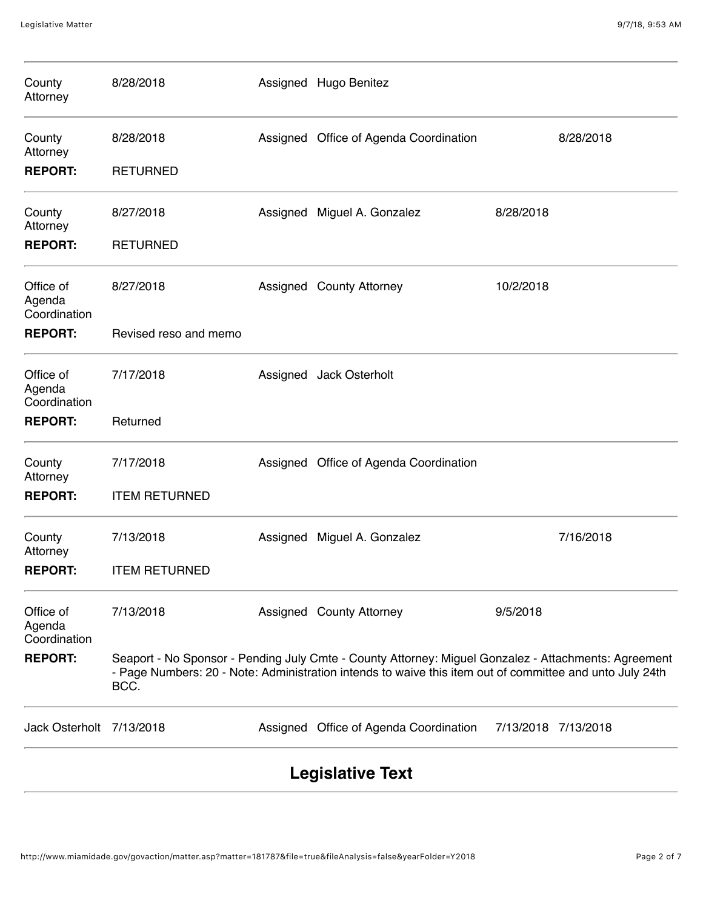| County<br>Attorney                  | 8/28/2018             |          | Assigned Hugo Benitez                                                                                                                                                                                            |                     |           |  |  |
|-------------------------------------|-----------------------|----------|------------------------------------------------------------------------------------------------------------------------------------------------------------------------------------------------------------------|---------------------|-----------|--|--|
| County<br>Attorney                  | 8/28/2018             |          | Assigned Office of Agenda Coordination                                                                                                                                                                           |                     | 8/28/2018 |  |  |
| <b>REPORT:</b>                      | <b>RETURNED</b>       |          |                                                                                                                                                                                                                  |                     |           |  |  |
| County<br>Attorney                  | 8/27/2018             | Assigned | Miguel A. Gonzalez                                                                                                                                                                                               | 8/28/2018           |           |  |  |
| <b>REPORT:</b>                      | <b>RETURNED</b>       |          |                                                                                                                                                                                                                  |                     |           |  |  |
| Office of<br>Agenda<br>Coordination | 8/27/2018             |          | Assigned County Attorney                                                                                                                                                                                         | 10/2/2018           |           |  |  |
| <b>REPORT:</b>                      | Revised reso and memo |          |                                                                                                                                                                                                                  |                     |           |  |  |
| Office of<br>Agenda<br>Coordination | 7/17/2018             |          | Assigned Jack Osterholt                                                                                                                                                                                          |                     |           |  |  |
| <b>REPORT:</b>                      | Returned              |          |                                                                                                                                                                                                                  |                     |           |  |  |
| County<br>Attorney                  | 7/17/2018             |          | Assigned Office of Agenda Coordination                                                                                                                                                                           |                     |           |  |  |
| <b>REPORT:</b>                      | <b>ITEM RETURNED</b>  |          |                                                                                                                                                                                                                  |                     |           |  |  |
| County<br>Attorney                  | 7/13/2018             | Assigned | Miguel A. Gonzalez                                                                                                                                                                                               |                     | 7/16/2018 |  |  |
| <b>REPORT:</b>                      | <b>ITEM RETURNED</b>  |          |                                                                                                                                                                                                                  |                     |           |  |  |
| Office of<br>Agenda<br>Coordination | 7/13/2018             |          | Assigned County Attorney                                                                                                                                                                                         | 9/5/2018            |           |  |  |
| <b>REPORT:</b>                      | BCC.                  |          | Seaport - No Sponsor - Pending July Cmte - County Attorney: Miguel Gonzalez - Attachments: Agreement<br>- Page Numbers: 20 - Note: Administration intends to waive this item out of committee and unto July 24th |                     |           |  |  |
| Jack Osterholt 7/13/2018            |                       |          | Assigned Office of Agenda Coordination                                                                                                                                                                           | 7/13/2018 7/13/2018 |           |  |  |
| <b>Legislative Text</b>             |                       |          |                                                                                                                                                                                                                  |                     |           |  |  |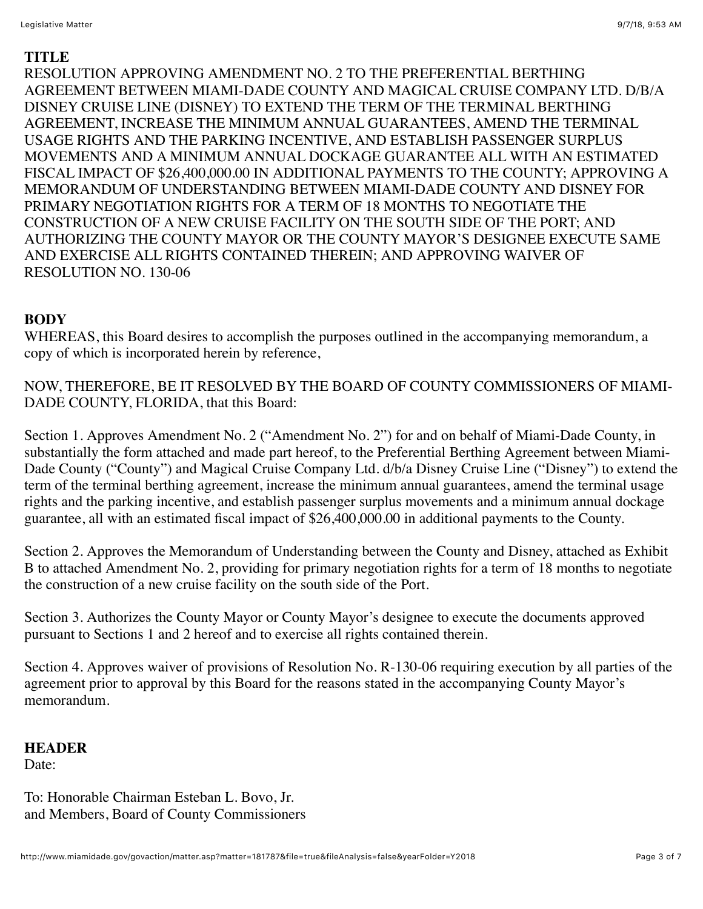#### **TITLE**

RESOLUTION APPROVING AMENDMENT NO. 2 TO THE PREFERENTIAL BERTHING AGREEMENT BETWEEN MIAMI-DADE COUNTY AND MAGICAL CRUISE COMPANY LTD. D/B/A DISNEY CRUISE LINE (DISNEY) TO EXTEND THE TERM OF THE TERMINAL BERTHING AGREEMENT, INCREASE THE MINIMUM ANNUAL GUARANTEES, AMEND THE TERMINAL USAGE RIGHTS AND THE PARKING INCENTIVE, AND ESTABLISH PASSENGER SURPLUS MOVEMENTS AND A MINIMUM ANNUAL DOCKAGE GUARANTEE ALL WITH AN ESTIMATED FISCAL IMPACT OF \$26,400,000.00 IN ADDITIONAL PAYMENTS TO THE COUNTY; APPROVING A MEMORANDUM OF UNDERSTANDING BETWEEN MIAMI-DADE COUNTY AND DISNEY FOR PRIMARY NEGOTIATION RIGHTS FOR A TERM OF 18 MONTHS TO NEGOTIATE THE CONSTRUCTION OF A NEW CRUISE FACILITY ON THE SOUTH SIDE OF THE PORT; AND AUTHORIZING THE COUNTY MAYOR OR THE COUNTY MAYOR'S DESIGNEE EXECUTE SAME AND EXERCISE ALL RIGHTS CONTAINED THEREIN; AND APPROVING WAIVER OF RESOLUTION NO. 130-06

## **BODY**

WHEREAS, this Board desires to accomplish the purposes outlined in the accompanying memorandum, a copy of which is incorporated herein by reference,

NOW, THEREFORE, BE IT RESOLVED BY THE BOARD OF COUNTY COMMISSIONERS OF MIAMI-DADE COUNTY, FLORIDA, that this Board:

Section 1. Approves Amendment No. 2 ("Amendment No. 2") for and on behalf of Miami-Dade County, in substantially the form attached and made part hereof, to the Preferential Berthing Agreement between Miami-Dade County ("County") and Magical Cruise Company Ltd. d/b/a Disney Cruise Line ("Disney") to extend the term of the terminal berthing agreement, increase the minimum annual guarantees, amend the terminal usage rights and the parking incentive, and establish passenger surplus movements and a minimum annual dockage guarantee, all with an estimated fiscal impact of \$26,400,000.00 in additional payments to the County.

Section 2. Approves the Memorandum of Understanding between the County and Disney, attached as Exhibit B to attached Amendment No. 2, providing for primary negotiation rights for a term of 18 months to negotiate the construction of a new cruise facility on the south side of the Port.

Section 3. Authorizes the County Mayor or County Mayor's designee to execute the documents approved pursuant to Sections 1 and 2 hereof and to exercise all rights contained therein.

Section 4. Approves waiver of provisions of Resolution No. R-130-06 requiring execution by all parties of the agreement prior to approval by this Board for the reasons stated in the accompanying County Mayor's memorandum.

#### **HEADER** Date:

To: Honorable Chairman Esteban L. Bovo, Jr. and Members, Board of County Commissioners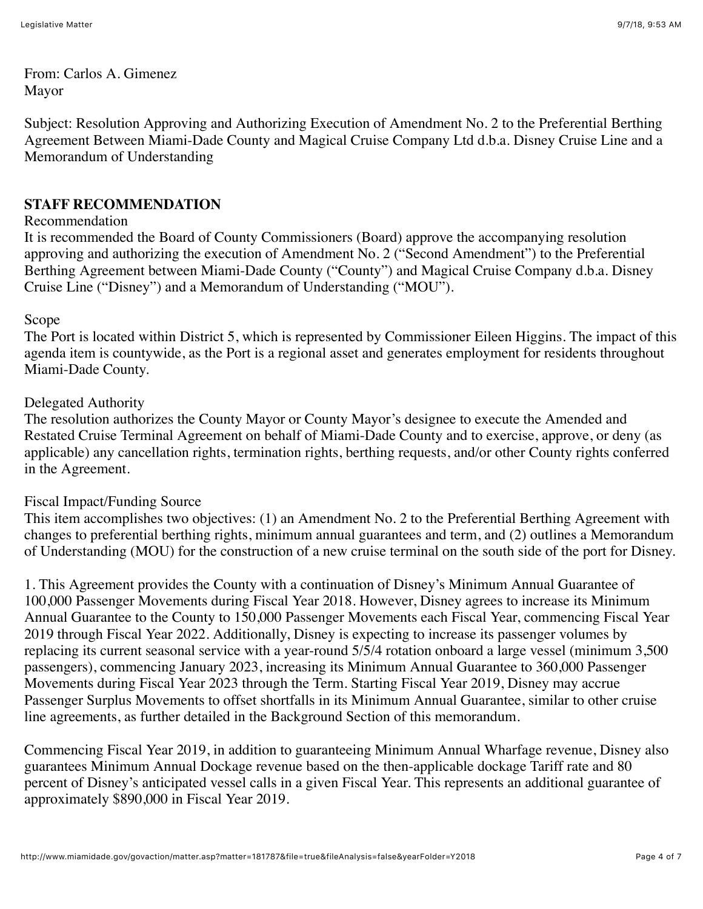From: Carlos A. Gimenez Mayor

Subject: Resolution Approving and Authorizing Execution of Amendment No. 2 to the Preferential Berthing Agreement Between Miami-Dade County and Magical Cruise Company Ltd d.b.a. Disney Cruise Line and a Memorandum of Understanding

## **STAFF RECOMMENDATION**

#### Recommendation

It is recommended the Board of County Commissioners (Board) approve the accompanying resolution approving and authorizing the execution of Amendment No. 2 ("Second Amendment") to the Preferential Berthing Agreement between Miami-Dade County ("County") and Magical Cruise Company d.b.a. Disney Cruise Line ("Disney") and a Memorandum of Understanding ("MOU").

#### Scope

The Port is located within District 5, which is represented by Commissioner Eileen Higgins. The impact of this agenda item is countywide, as the Port is a regional asset and generates employment for residents throughout Miami-Dade County.

#### Delegated Authority

The resolution authorizes the County Mayor or County Mayor's designee to execute the Amended and Restated Cruise Terminal Agreement on behalf of Miami-Dade County and to exercise, approve, or deny (as applicable) any cancellation rights, termination rights, berthing requests, and/or other County rights conferred in the Agreement.

### Fiscal Impact/Funding Source

This item accomplishes two objectives: (1) an Amendment No. 2 to the Preferential Berthing Agreement with changes to preferential berthing rights, minimum annual guarantees and term, and (2) outlines a Memorandum of Understanding (MOU) for the construction of a new cruise terminal on the south side of the port for Disney.

1. This Agreement provides the County with a continuation of Disney's Minimum Annual Guarantee of 100,000 Passenger Movements during Fiscal Year 2018. However, Disney agrees to increase its Minimum Annual Guarantee to the County to 150,000 Passenger Movements each Fiscal Year, commencing Fiscal Year 2019 through Fiscal Year 2022. Additionally, Disney is expecting to increase its passenger volumes by replacing its current seasonal service with a year-round 5/5/4 rotation onboard a large vessel (minimum 3,500 passengers), commencing January 2023, increasing its Minimum Annual Guarantee to 360,000 Passenger Movements during Fiscal Year 2023 through the Term. Starting Fiscal Year 2019, Disney may accrue Passenger Surplus Movements to offset shortfalls in its Minimum Annual Guarantee, similar to other cruise line agreements, as further detailed in the Background Section of this memorandum.

Commencing Fiscal Year 2019, in addition to guaranteeing Minimum Annual Wharfage revenue, Disney also guarantees Minimum Annual Dockage revenue based on the then-applicable dockage Tariff rate and 80 percent of Disney's anticipated vessel calls in a given Fiscal Year. This represents an additional guarantee of approximately \$890,000 in Fiscal Year 2019.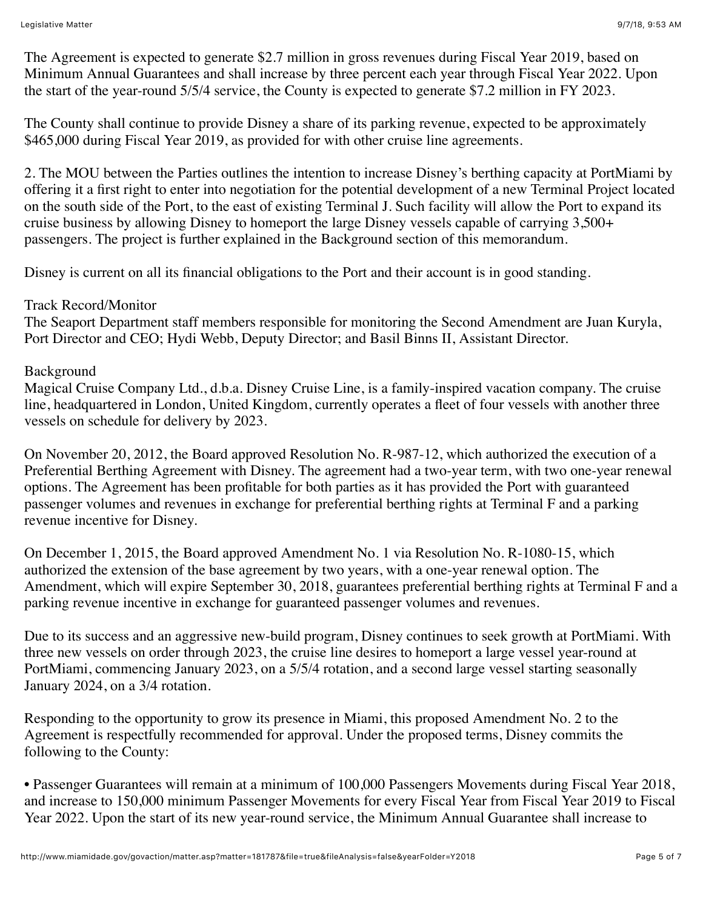The Agreement is expected to generate \$2.7 million in gross revenues during Fiscal Year 2019, based on Minimum Annual Guarantees and shall increase by three percent each year through Fiscal Year 2022. Upon the start of the year-round 5/5/4 service, the County is expected to generate \$7.2 million in FY 2023.

The County shall continue to provide Disney a share of its parking revenue, expected to be approximately \$465,000 during Fiscal Year 2019, as provided for with other cruise line agreements.

2. The MOU between the Parties outlines the intention to increase Disney's berthing capacity at PortMiami by offering it a first right to enter into negotiation for the potential development of a new Terminal Project located on the south side of the Port, to the east of existing Terminal J. Such facility will allow the Port to expand its cruise business by allowing Disney to homeport the large Disney vessels capable of carrying 3,500+ passengers. The project is further explained in the Background section of this memorandum.

Disney is current on all its financial obligations to the Port and their account is in good standing.

## Track Record/Monitor

The Seaport Department staff members responsible for monitoring the Second Amendment are Juan Kuryla, Port Director and CEO; Hydi Webb, Deputy Director; and Basil Binns II, Assistant Director.

## Background

Magical Cruise Company Ltd., d.b.a. Disney Cruise Line, is a family-inspired vacation company. The cruise line, headquartered in London, United Kingdom, currently operates a fleet of four vessels with another three vessels on schedule for delivery by 2023.

On November 20, 2012, the Board approved Resolution No. R-987-12, which authorized the execution of a Preferential Berthing Agreement with Disney. The agreement had a two-year term, with two one-year renewal options. The Agreement has been profitable for both parties as it has provided the Port with guaranteed passenger volumes and revenues in exchange for preferential berthing rights at Terminal F and a parking revenue incentive for Disney.

On December 1, 2015, the Board approved Amendment No. 1 via Resolution No. R-1080-15, which authorized the extension of the base agreement by two years, with a one-year renewal option. The Amendment, which will expire September 30, 2018, guarantees preferential berthing rights at Terminal F and a parking revenue incentive in exchange for guaranteed passenger volumes and revenues.

Due to its success and an aggressive new-build program, Disney continues to seek growth at PortMiami. With three new vessels on order through 2023, the cruise line desires to homeport a large vessel year-round at PortMiami, commencing January 2023, on a 5/5/4 rotation, and a second large vessel starting seasonally January 2024, on a 3/4 rotation.

Responding to the opportunity to grow its presence in Miami, this proposed Amendment No. 2 to the Agreement is respectfully recommended for approval. Under the proposed terms, Disney commits the following to the County:

• Passenger Guarantees will remain at a minimum of 100,000 Passengers Movements during Fiscal Year 2018, and increase to 150,000 minimum Passenger Movements for every Fiscal Year from Fiscal Year 2019 to Fiscal Year 2022. Upon the start of its new year-round service, the Minimum Annual Guarantee shall increase to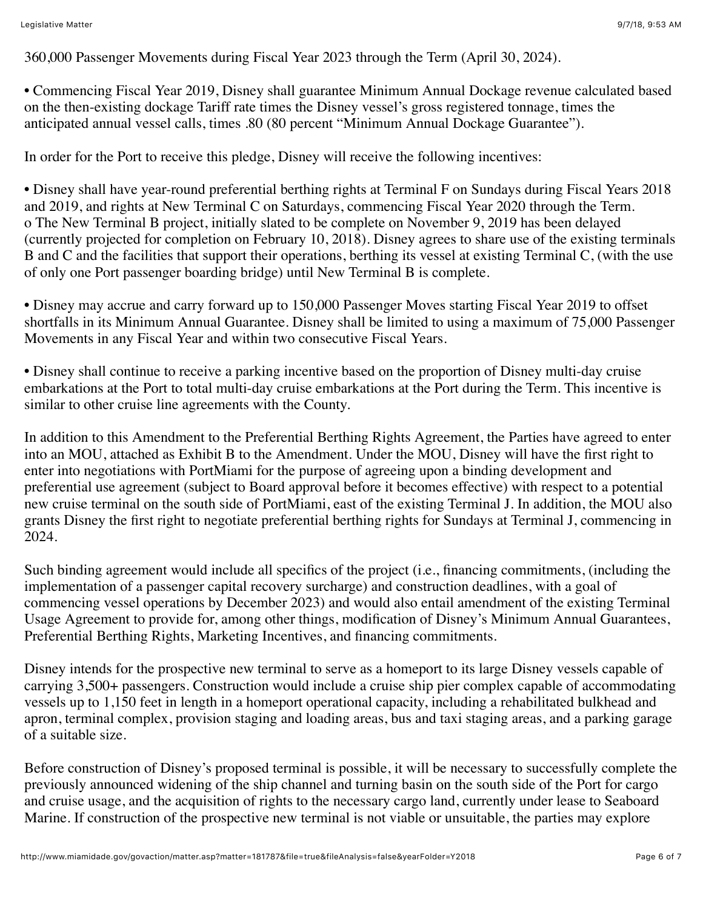360,000 Passenger Movements during Fiscal Year 2023 through the Term (April 30, 2024).

• Commencing Fiscal Year 2019, Disney shall guarantee Minimum Annual Dockage revenue calculated based on the then-existing dockage Tariff rate times the Disney vessel's gross registered tonnage, times the anticipated annual vessel calls, times .80 (80 percent "Minimum Annual Dockage Guarantee").

In order for the Port to receive this pledge, Disney will receive the following incentives:

• Disney shall have year-round preferential berthing rights at Terminal F on Sundays during Fiscal Years 2018 and 2019, and rights at New Terminal C on Saturdays, commencing Fiscal Year 2020 through the Term. o The New Terminal B project, initially slated to be complete on November 9, 2019 has been delayed (currently projected for completion on February 10, 2018). Disney agrees to share use of the existing terminals B and C and the facilities that support their operations, berthing its vessel at existing Terminal C, (with the use of only one Port passenger boarding bridge) until New Terminal B is complete.

• Disney may accrue and carry forward up to 150,000 Passenger Moves starting Fiscal Year 2019 to offset shortfalls in its Minimum Annual Guarantee. Disney shall be limited to using a maximum of 75,000 Passenger Movements in any Fiscal Year and within two consecutive Fiscal Years.

• Disney shall continue to receive a parking incentive based on the proportion of Disney multi-day cruise embarkations at the Port to total multi-day cruise embarkations at the Port during the Term. This incentive is similar to other cruise line agreements with the County.

In addition to this Amendment to the Preferential Berthing Rights Agreement, the Parties have agreed to enter into an MOU, attached as Exhibit B to the Amendment. Under the MOU, Disney will have the first right to enter into negotiations with PortMiami for the purpose of agreeing upon a binding development and preferential use agreement (subject to Board approval before it becomes effective) with respect to a potential new cruise terminal on the south side of PortMiami, east of the existing Terminal J. In addition, the MOU also grants Disney the first right to negotiate preferential berthing rights for Sundays at Terminal J, commencing in 2024.

Such binding agreement would include all specifics of the project (i.e., financing commitments, (including the implementation of a passenger capital recovery surcharge) and construction deadlines, with a goal of commencing vessel operations by December 2023) and would also entail amendment of the existing Terminal Usage Agreement to provide for, among other things, modification of Disney's Minimum Annual Guarantees, Preferential Berthing Rights, Marketing Incentives, and financing commitments.

Disney intends for the prospective new terminal to serve as a homeport to its large Disney vessels capable of carrying 3,500+ passengers. Construction would include a cruise ship pier complex capable of accommodating vessels up to 1,150 feet in length in a homeport operational capacity, including a rehabilitated bulkhead and apron, terminal complex, provision staging and loading areas, bus and taxi staging areas, and a parking garage of a suitable size.

Before construction of Disney's proposed terminal is possible, it will be necessary to successfully complete the previously announced widening of the ship channel and turning basin on the south side of the Port for cargo and cruise usage, and the acquisition of rights to the necessary cargo land, currently under lease to Seaboard Marine. If construction of the prospective new terminal is not viable or unsuitable, the parties may explore